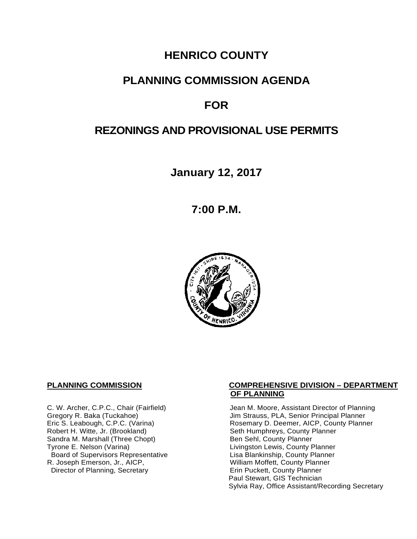# **HENRICO COUNTY**

## **PLANNING COMMISSION AGENDA**

# **FOR**

# **REZONINGS AND PROVISIONAL USE PERMITS**

**January 12, 2017**

**7:00 P.M.**



Sandra M. Marshall (Three Chopt)<br>Tyrone E. Nelson (Varina) Board of Supervisors Representative Fig. 2016. Lisa Blankinship, County Planner<br>L. Joseph Emerson, Jr., AICP, North County Planner (Nilliam Moffett, County Planner) R. Joseph Emerson, Jr., AICP, <br>
Director of Planning, Secretary 
William Moffett, County Planner Director of Planning, Secretary

#### **PLANNING COMMISSION COMPREHENSIVE DIVISION – DEPARTMENT OF PLANNING**

C. W. Archer, C.P.C., Chair (Fairfield) Jean M. Moore, Assistant Director of Planning<br>Gregory R. Baka (Tuckahoe) Jim Strauss, PLA, Senior Principal Planner Gregory R. Baka (Tuckahoe) <br>
Eric S. Leabough, C.P.C. (Varina) Rosemary D. Deemer, AICP, County Planner Eric S. Leabough, C.P.C. (Varina) <br>
Rosemary D. Deemer, AICP, County Planner<br>
Robert H. Witte, Jr. (Brookland) Seth Humphreys, County Planner Seth Humphreys, County Planner<br>Ben Sehl, County Planner Livingston Lewis, County Planner<br>Lisa Blankinship, County Planner Paul Stewart, GIS Technician Sylvia Ray, Office Assistant/Recording Secretary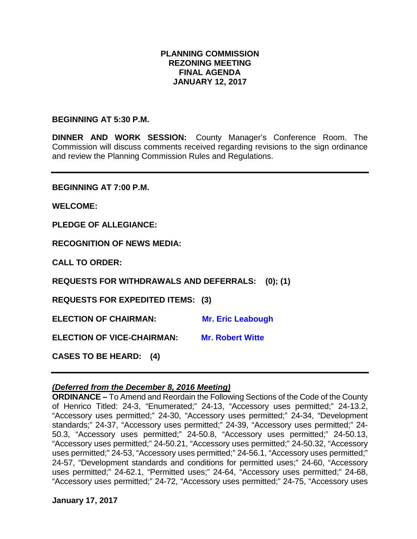## **PLANNING COMMISSION REZONING MEETING FINAL AGENDA JANUARY 12, 2017**

#### **BEGINNING AT 5:30 P.M.**

**DINNER AND WORK SESSION:** County Manager's Conference Room. The Commission will discuss comments received regarding revisions to the sign ordinance and review the Planning Commission Rules and Regulations.

**BEGINNING AT 7:00 P.M.**

**WELCOME:**

**PLEDGE OF ALLEGIANCE:**

**RECOGNITION OF NEWS MEDIA:**

**CALL TO ORDER:**

**REQUESTS FOR WITHDRAWALS AND DEFERRALS: (0); (1)**

**REQUESTS FOR EXPEDITED ITEMS: (3)**

**ELECTION OF CHAIRMAN:** Mr. Eric Leabough

**ELECTION OF VICE-CHAIRMAN: Mr. Robert Witte**

**CASES TO BE HEARD: (4)**

#### *(Deferred from the December 8, 2016 Meeting)*

**ORDINANCE –** To Amend and Reordain the Following Sections of the Code of the County of Henrico Titled: 24-3, "Enumerated;" 24-13, "Accessory uses permitted;" 24-13.2, "Accessory uses permitted;" 24-30, "Accessory uses permitted;" 24-34, "Development standards;" 24-37, "Accessory uses permitted;" 24-39, "Accessory uses permitted;" 24- 50.3, "Accessory uses permitted;" 24-50.8, "Accessory uses permitted;" 24-50.13, "Accessory uses permitted;" 24-50.21, "Accessory uses permitted;" 24-50.32, "Accessory uses permitted;" 24-53, "Accessory uses permitted;" 24-56.1, "Accessory uses permitted;" 24-57, "Development standards and conditions for permitted uses;" 24-60, "Accessory uses permitted;" 24-62.1, "Permitted uses;" 24-64, "Accessory uses permitted;" 24-68, "Accessory uses permitted;" 24-72, "Accessory uses permitted;" 24-75, "Accessory uses

**January 17, 2017**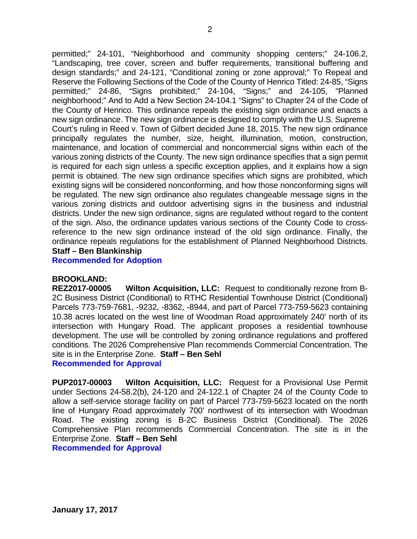permitted;" 24-101, "Neighborhood and community shopping centers;" 24-106.2, "Landscaping, tree cover, screen and buffer requirements, transitional buffering and design standards;" and 24-121, "Conditional zoning or zone approval;" To Repeal and Reserve the Following Sections of the Code of the County of Henrico Titled: 24-85, "Signs permitted;" 24-86, "Signs prohibited;" 24-104, "Signs;" and 24-105, "Planned neighborhood;" And to Add a New Section 24-104.1 "Signs" to Chapter 24 of the Code of the County of Henrico. This ordinance repeals the existing sign ordinance and enacts a new sign ordinance. The new sign ordinance is designed to comply with the U.S. Supreme Court's ruling in Reed v. Town of Gilbert decided June 18, 2015. The new sign ordinance principally regulates the number, size, height, illumination, motion, construction, maintenance, and location of commercial and noncommercial signs within each of the various zoning districts of the County. The new sign ordinance specifies that a sign permit is required for each sign unless a specific exception applies, and it explains how a sign permit is obtained. The new sign ordinance specifies which signs are prohibited, which existing signs will be considered nonconforming, and how those nonconforming signs will be regulated. The new sign ordinance also regulates changeable message signs in the various zoning districts and outdoor advertising signs in the business and industrial districts. Under the new sign ordinance, signs are regulated without regard to the content of the sign. Also, the ordinance updates various sections of the County Code to crossreference to the new sign ordinance instead of the old sign ordinance. Finally, the ordinance repeals regulations for the establishment of Planned Neighborhood Districts. **Staff – Ben Blankinship**

**Recommended for Adoption**

#### **BROOKLAND:**

**REZ2017-00005 Wilton Acquisition, LLC:** Request to conditionally rezone from B-2C Business District (Conditional) to RTHC Residential Townhouse District (Conditional) Parcels 773-759-7681, -9232, -8362, -8944, and part of Parcel 773-759-5623 containing 10.38 acres located on the west line of Woodman Road approximately 240' north of its intersection with Hungary Road. The applicant proposes a residential townhouse development. The use will be controlled by zoning ordinance regulations and proffered conditions. The 2026 Comprehensive Plan recommends Commercial Concentration. The site is in the Enterprise Zone. **Staff – Ben Sehl**

**Recommended for Approval**

**PUP2017-00003 Wilton Acquisition, LLC:** Request for a Provisional Use Permit under Sections 24-58.2(b), 24-120 and 24-122.1 of Chapter 24 of the County Code to allow a self-service storage facility on part of Parcel 773-759-5623 located on the north line of Hungary Road approximately 700' northwest of its intersection with Woodman Road. The existing zoning is B-2C Business District (Conditional). The 2026 Comprehensive Plan recommends Commercial Concentration. The site is in the Enterprise Zone. **Staff – Ben Sehl**

**Recommended for Approval**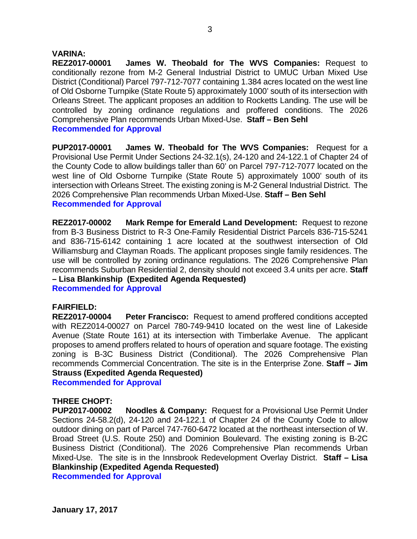#### **VARINA:**

**REZ2017-00001 James W. Theobald for The WVS Companies:** Request to conditionally rezone from M-2 General Industrial District to UMUC Urban Mixed Use District (Conditional) Parcel 797-712-7077 containing 1.384 acres located on the west line of Old Osborne Turnpike (State Route 5) approximately 1000' south of its intersection with Orleans Street. The applicant proposes an addition to Rocketts Landing. The use will be controlled by zoning ordinance regulations and proffered conditions. The 2026 Comprehensive Plan recommends Urban Mixed-Use. **Staff – Ben Sehl Recommended for Approval**

**PUP2017-00001 James W. Theobald for The WVS Companies:** Request for a Provisional Use Permit Under Sections 24-32.1(s), 24-120 and 24-122.1 of Chapter 24 of the County Code to allow buildings taller than 60' on Parcel 797-712-7077 located on the west line of Old Osborne Turnpike (State Route 5) approximately 1000' south of its intersection with Orleans Street. The existing zoning is M-2 General Industrial District. The 2026 Comprehensive Plan recommends Urban Mixed-Use. **Staff – Ben Sehl Recommended for Approval**

**REZ2017-00002 Mark Rempe for Emerald Land Development:** Request to rezone from B-3 Business District to R-3 One-Family Residential District Parcels 836-715-5241 and 836-715-6142 containing 1 acre located at the southwest intersection of Old Williamsburg and Clayman Roads. The applicant proposes single family residences. The use will be controlled by zoning ordinance regulations. The 2026 Comprehensive Plan recommends Suburban Residential 2, density should not exceed 3.4 units per acre. **Staff – Lisa Blankinship (Expedited Agenda Requested)**

**Recommended for Approval**

#### **FAIRFIELD:**

**REZ2017-00004 Peter Francisco:** Request to amend proffered conditions accepted with REZ2014-00027 on Parcel 780-749-9410 located on the west line of Lakeside Avenue (State Route 161) at its intersection with Timberlake Avenue. The applicant proposes to amend proffers related to hours of operation and square footage. The existing zoning is B-3C Business District (Conditional). The 2026 Comprehensive Plan recommends Commercial Concentration. The site is in the Enterprise Zone. **Staff – Jim Strauss (Expedited Agenda Requested)**

**Recommended for Approval**

#### **THREE CHOPT:**

**PUP2017-00002 Noodles & Company:** Request for a Provisional Use Permit Under Sections 24-58.2(d), 24-120 and 24-122.1 of Chapter 24 of the County Code to allow outdoor dining on part of Parcel 747-760-6472 located at the northeast intersection of W. Broad Street (U.S. Route 250) and Dominion Boulevard. The existing zoning is B-2C Business District (Conditional). The 2026 Comprehensive Plan recommends Urban Mixed-Use. The site is in the Innsbrook Redevelopment Overlay District. **Staff – Lisa Blankinship (Expedited Agenda Requested)**

**Recommended for Approval**